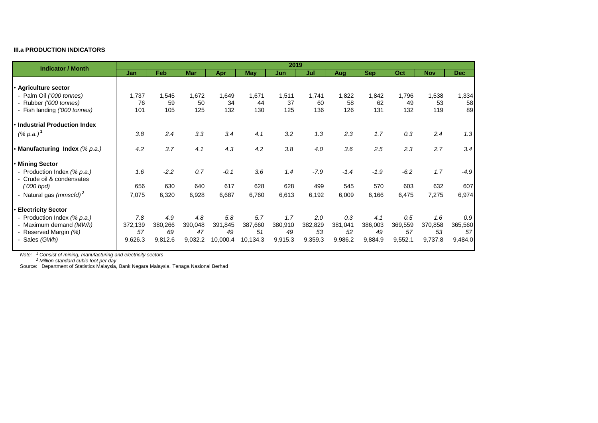## **III.a PRODUCTION INDICATORS**

| <b>Indicator / Month</b>                                 | 2019    |         |            |          |            |         |         |         |            |         |            |            |
|----------------------------------------------------------|---------|---------|------------|----------|------------|---------|---------|---------|------------|---------|------------|------------|
|                                                          | Jan     | Feb     | <b>Mar</b> | Apr      | <b>May</b> | Jun     | Jul     | Aug     | <b>Sep</b> | Oct     | <b>Nov</b> | <b>Dec</b> |
|                                                          |         |         |            |          |            |         |         |         |            |         |            |            |
| · Agriculture sector                                     |         |         |            |          |            |         |         |         |            |         |            |            |
| - Palm Oil ('000 tonnes)                                 | 1,737   | 1,545   | 1,672      | 1,649    | 1,671      | 1,511   | 1,741   | 1,822   | 1,842      | 1,796   | 1,538      | 1,334      |
| - Rubber ('000 tonnes)                                   | 76      | 59      | 50         | 34       | 44         | 37      | 60      | 58      | 62         | 49      | 53         | 58         |
| - Fish landing ('000 tonnes)                             | 101     | 105     | 125        | 132      | 130        | 125     | 136     | 126     | 131        | 132     | 119        | 89         |
| • Industrial Production Index                            |         |         |            |          |            |         |         |         |            |         |            |            |
| $(% p.a.)^1$                                             | 3.8     | 2.4     | 3.3        | 3.4      | 4.1        | 3.2     | 1.3     | 2.3     | 1.7        | 0.3     | 2.4        | 1.3        |
| • Manufacturing Index (% p.a.)                           | 4.2     | 3.7     | 4.1        | 4.3      | 4.2        | 3.8     | 4.0     | 3.6     | 2.5        | 2.3     | 2.7        | 3.4        |
| • Mining Sector                                          |         |         |            |          |            |         |         |         |            |         |            |            |
| - Production Index (% p.a.)<br>- Crude oil & condensates | 1.6     | $-2.2$  | 0.7        | $-0.1$   | 3.6        | 1.4     | $-7.9$  | $-1.4$  | $-1.9$     | $-6.2$  | 1.7        | $-4.9$     |
| $(000$ bpd)                                              | 656     | 630     | 640        | 617      | 628        | 628     | 499     | 545     | 570        | 603     | 632        | 607        |
| - Natural gas (mmscfd) <sup>2</sup>                      | 7,075   | 6,320   | 6,928      | 6,687    | 6,760      | 6,613   | 6,192   | 6,009   | 6,166      | 6,475   | 7,275      | 6,974      |
| • Electricity Sector                                     |         |         |            |          |            |         |         |         |            |         |            |            |
| - Production Index (% p.a.)                              | 7.8     | 4.9     | 4.8        | 5.8      | 5.7        | 1.7     | 2.0     | 0.3     | 4.1        | 0.5     | 1.6        | 0.9        |
| - Maximum demand (MWh)                                   | 372,139 | 380,266 | 390,048    | 391,845  | 387,660    | 380,910 | 382,829 | 381,041 | 386,003    | 369,559 | 370,858    | 365,560    |
| - Reserved Margin (%)                                    | 57      | 69      | 47         | 49       | 51         | 49      | 53      | 52      | 49         | 57      | 53         | 57         |
| - Sales (GWh)                                            | 9,626.3 | 9,812.6 | 9,032.2    | 10,000.4 | 10,134.3   | 9,915.3 | 9,359.3 | 9,986.2 | 9,884.9    | 9,552.1 | 9,737.8    | 9,484.0    |

*Note: <sup>1</sup> Consist of mining, manufacturing and electricity sectors*

*Note: <sup>2</sup> Million standard cubic foot per day*

Source: Department of Statistics Malaysia, Bank Negara Malaysia, Tenaga Nasional Berhad